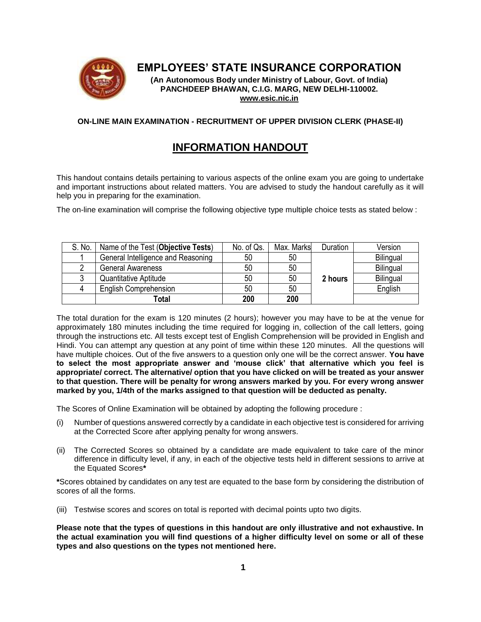

## **EMPLOYEES' STATE INSURANCE CORPORATION**

**(An Autonomous Body under Ministry of Labour, Govt. of India) PANCHDEEP BHAWAN, C.I.G. MARG, NEW DELHI-110002. [www.esic.nic.in](http://www.esic.nic.in/)**

## **ON-LINE MAIN EXAMINATION - RECRUITMENT OF UPPER DIVISION CLERK (PHASE-II)**

# **INFORMATION HANDOUT**

This handout contains details pertaining to various aspects of the online exam you are going to undertake and important instructions about related matters. You are advised to study the handout carefully as it will help you in preparing for the examination.

The on-line examination will comprise the following objective type multiple choice tests as stated below :

| S. No. | Name of the Test (Objective Tests) | No. of Qs. | Max. Marks | Duration | Version          |
|--------|------------------------------------|------------|------------|----------|------------------|
|        | General Intelligence and Reasoning | 50         | 50         |          | <b>Bilingual</b> |
|        | <b>General Awareness</b>           | 50         | 50         |          | Bilingual        |
|        | Quantitative Aptitude              | 50         | 50         | 2 hours  | Bilingual        |
|        | <b>English Comprehension</b>       | 50         | 50         |          | English          |
|        | Total                              | 200        | 200        |          |                  |

The total duration for the exam is 120 minutes (2 hours); however you may have to be at the venue for approximately 180 minutes including the time required for logging in, collection of the call letters, going through the instructions etc. All tests except test of English Comprehension will be provided in English and Hindi. You can attempt any question at any point of time within these 120 minutes. All the questions will have multiple choices. Out of the five answers to a question only one will be the correct answer. **You have to select the most appropriate answer and 'mouse click' that alternative which you feel is appropriate/ correct. The alternative/ option that you have clicked on will be treated as your answer to that question. There will be penalty for wrong answers marked by you. For every wrong answer marked by you, 1/4th of the marks assigned to that question will be deducted as penalty.**

The Scores of Online Examination will be obtained by adopting the following procedure :

- (i) Number of questions answered correctly by a candidate in each objective test is considered for arriving at the Corrected Score after applying penalty for wrong answers.
- (ii) The Corrected Scores so obtained by a candidate are made equivalent to take care of the minor difference in difficulty level, if any, in each of the objective tests held in different sessions to arrive at the Equated Scores**\***

**\***Scores obtained by candidates on any test are equated to the base form by considering the distribution of scores of all the forms.

(iii) Testwise scores and scores on total is reported with decimal points upto two digits.

**Please note that the types of questions in this handout are only illustrative and not exhaustive. In the actual examination you will find questions of a higher difficulty level on some or all of these types and also questions on the types not mentioned here.**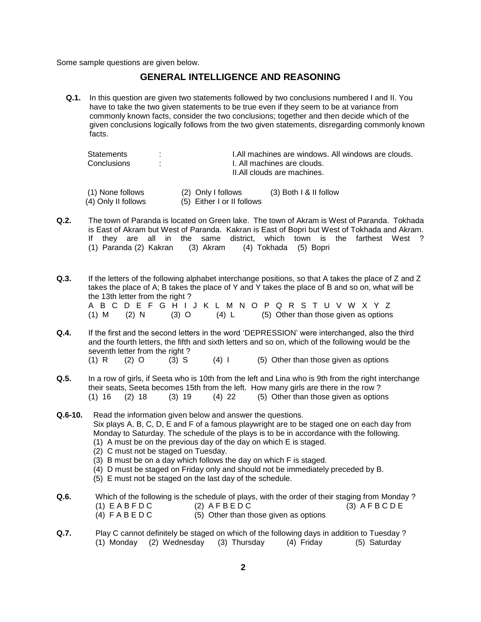Some sample questions are given below.

## **GENERAL INTELLIGENCE AND REASONING**

**Q.1.** In this question are given two statements followed by two conclusions numbered I and II. You have to take the two given statements to be true even if they seem to be at variance from commonly known facts, consider the two conclusions; together and then decide which of the given conclusions logically follows from the two given statements, disregarding commonly known facts.

| Statements<br>٠.<br>Conclusions<br>٠.   |  |                                                  | I.All machines are windows. All windows are clouds.<br>I. All machines are clouds.<br>II.All clouds are machines. |  |  |
|-----------------------------------------|--|--------------------------------------------------|-------------------------------------------------------------------------------------------------------------------|--|--|
| (1) None follows<br>(4) Only II follows |  | (2) Only I follows<br>(5) Either I or II follows | $(3)$ Both I & II follow                                                                                          |  |  |

- **Q.2.** The town of Paranda is located on Green lake. The town of Akram is West of Paranda. Tokhada is East of Akram but West of Paranda. Kakran is East of Bopri but West of Tokhada and Akram. If they are all in the same district, which town is the farthest West ? (1) Paranda (2) Kakran (3) Akram (4) Tokhada (5) Bopri
- **Q.3.** If the letters of the following alphabet interchange positions, so that A takes the place of Z and Z takes the place of A; B takes the place of Y and Y takes the place of B and so on, what will be the 13th letter from the right ? A B C D E F G H I J K L M N O P Q R S T U V W X Y Z (1) M (2) N (3) O (4) L (5) Other than those given as options
- **Q.4.** If the first and the second letters in the word 'DEPRESSION' were interchanged, also the third and the fourth letters, the fifth and sixth letters and so on, which of the following would be the seventh letter from the right ? (1) R  $(2)$  O  $(3)$  S  $(4)$  I  $(5)$  Other than those given as options
- **Q.5.** In a row of girls, if Seeta who is 10th from the left and Lina who is 9th from the right interchange their seats, Seeta becomes 15th from the left. How many girls are there in the row ? (1) 16 (2) 18 (3) 19 (4) 22 (5) Other than those given as options
- **Q.6-10.** Read the information given below and answer the questions. Six plays A, B, C, D, E and F of a famous playwright are to be staged one on each day from Monday to Saturday. The schedule of the plays is to be in accordance with the following. (1) A must be on the previous day of the day on which E is staged.
	- (2) C must not be staged on Tuesday.
	- (3) B must be on a day which follows the day on which F is staged.
	- (4) D must be staged on Friday only and should not be immediately preceded by B.
	- (5) E must not be staged on the last day of the schedule.
- **Q.6.** Which of the following is the schedule of plays, with the order of their staging from Monday ?  $(1)$  E A B F D C  $(2)$  A F B E D C  $(3)$  A F B C D E (4)  $F \land B \in D \cap C$  (5) Other than those given as options
- **Q.7.** Play C cannot definitely be staged on which of the following days in addition to Tuesday ? (1) Monday (2) Wednesday (3) Thursday (4) Friday (5) Saturday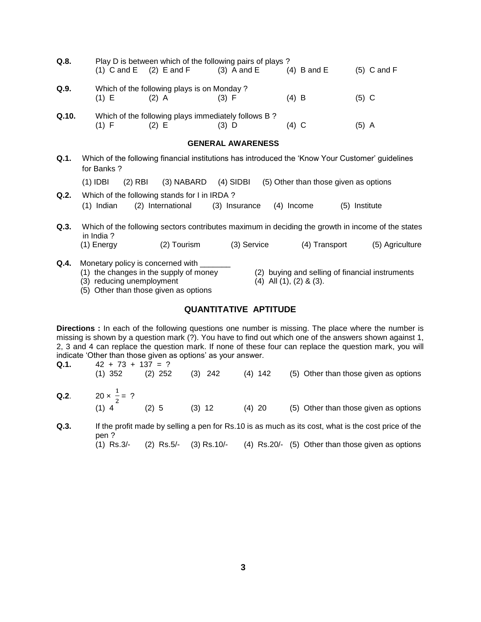| Q.8.  |                         |                           | Play D is between which of the following pairs of plays?<br>(1) $C$ and $E$ (2) $E$ and $F$ (3) $A$ and $E$ |                          |                                   | $(4)$ B and E                         |               | $(5)$ C and F                                   |
|-------|-------------------------|---------------------------|-------------------------------------------------------------------------------------------------------------|--------------------------|-----------------------------------|---------------------------------------|---------------|-------------------------------------------------|
| Q.9.  | $(1)$ E                 |                           | Which of the following plays is on Monday?<br>$(2)$ A                                                       | (3) F                    |                                   | $(4)$ B                               | $(5)$ C       |                                                 |
| Q.10. | $(1)$ F                 |                           | Which of the following plays immediately follows B?<br>$(2)$ E                                              | $(3)$ D                  |                                   | $(4)$ C                               | $(5)$ A       |                                                 |
|       |                         |                           |                                                                                                             | <b>GENERAL AWARENESS</b> |                                   |                                       |               |                                                 |
| Q.1.  | for Banks?              |                           | Which of the following financial institutions has introduced the 'Know Your Customer' guidelines            |                          |                                   |                                       |               |                                                 |
|       | $(1)$ IDBI              |                           | (2) RBI (3) NABARD (4) SIDBI                                                                                |                          |                                   | (5) Other than those given as options |               |                                                 |
| Q.2.  | (1) Indian              |                           | Which of the following stands for I in IRDA?<br>(2) International                                           | (3) Insurance (4) Income |                                   |                                       | (5) Institute |                                                 |
| Q.3.  |                         |                           | Which of the following sectors contributes maximum in deciding the growth in income of the states           |                          |                                   |                                       |               |                                                 |
|       | in India?<br>(1) Energy |                           | (2) Tourism                                                                                                 |                          | (3) Service                       | (4) Transport                         |               | (5) Agriculture                                 |
| Q.4.  |                         | (3) reducing unemployment | Monetary policy is concerned with _______<br>(1) the changes in the supply of money                         |                          | $(4)$ All $(1)$ , $(2)$ & $(3)$ . |                                       |               | (2) buying and selling of financial instruments |

- (5) Other than those given as options
	-

# **QUANTITATIVE APTITUDE**

**Directions :** In each of the following questions one number is missing. The place where the number is missing is shown by a question mark (?). You have to find out which one of the answers shown against 1, 2, 3 and 4 can replace the question mark. If none of these four can replace the question mark, you will indicate 'Other than those given as options' as your answer.

**Q.1.**  $42 + 73 + 137 = ?$ (1) 352 (2) 252 (3) 242 (4) 142 (5) Other than those given as options **Q.2.**  $20 \times \frac{1}{2}$  $\frac{1}{2}$  = ? (2)  $5$  (3) 12 (4) 20 (5) Other than those given as options

**Q.3.** If the profit made by selling a pen for Rs.10 is as much as its cost, what is the cost price of the pen ? (1) Rs.3/- (2) Rs.5/- (3) Rs.10/- (4) Rs.20/- (5) Other than those given as options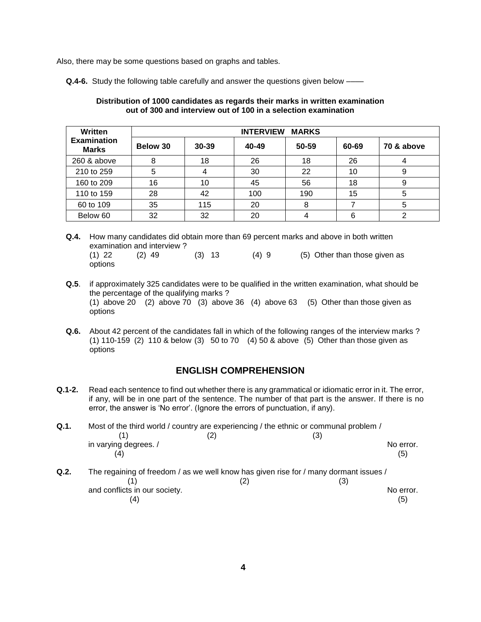Also, there may be some questions based on graphs and tables.

Q.4-6. Study the following table carefully and answer the questions given below –

#### **Distribution of 1000 candidates as regards their marks in written examination out of 300 and interview out of 100 in a selection examination**

| Written                            | <b>MARKS</b><br><b>INTERVIEW</b> |       |       |       |       |            |
|------------------------------------|----------------------------------|-------|-------|-------|-------|------------|
| <b>Examination</b><br><b>Marks</b> | Below 30                         | 30-39 | 40-49 | 50-59 | 60-69 | 70 & above |
| 260 & above                        | 8                                | 18    | 26    | 18    | 26    |            |
| 210 to 259                         | 5                                |       | 30    | 22    | 10    | 9          |
| 160 to 209                         | 16                               | 10    | 45    | 56    | 18    | 9          |
| 110 to 159                         | 28                               | 42    | 100   | 190   | 15    | 5          |
| 60 to 109                          | 35                               | 115   | 20    | 8     |       | 5          |
| Below 60                           | 32                               | 32    | 20    | 4     | 6     | 2          |

**Q.4.** How many candidates did obtain more than 69 percent marks and above in both written examination and interview ? (1) 22 (2) 49 (3) 13 (4) 9 (5) Other than those given as options

- **Q.5**. if approximately 325 candidates were to be qualified in the written examination, what should be the percentage of the qualifying marks ? (1) above 20 (2) above 70 (3) above 36 (4) above 63 (5) Other than those given as options
- **Q.6.** About 42 percent of the candidates fall in which of the following ranges of the interview marks ? (1) 110-159 (2) 110 & below (3) 50 to 70 (4) 50 & above (5) Other than those given as options

## **ENGLISH COMPREHENSION**

**Q.1-2.** Read each sentence to find out whether there is any grammatical or idiomatic error in it. The error, if any, will be in one part of the sentence. The number of that part is the answer. If there is no error, the answer is 'No error'. (Ignore the errors of punctuation, if any).

**Q.1.** Most of the third world / country are experiencing / the ethnic or communal problem /  $(1)$   $(2)$   $(3)$ in varying degrees. / No error.  $(4)$  (5) **Q.2.** The regaining of freedom / as we well know has given rise for / many dormant issues /  $(1)$   $(2)$   $(3)$ and conflicts in our society. The conflicts in our society. The conflicts in our society.  $(4)$  (5)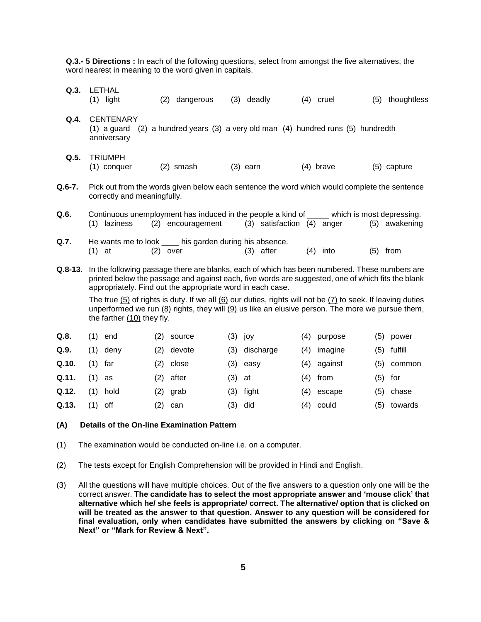**Q.3.- 5 Directions :** In each of the following questions, select from amongst the five alternatives, the word nearest in meaning to the word given in capitals.

| Q.3.    | LETHAL<br>$(1)$ light                                                                                                                                                                                                                                            | (2)<br>dangerous                                                                                                 | $(3)$ deadly                   | $(4)$ cruel    | thoughtless<br>(5) |  |  |
|---------|------------------------------------------------------------------------------------------------------------------------------------------------------------------------------------------------------------------------------------------------------------------|------------------------------------------------------------------------------------------------------------------|--------------------------------|----------------|--------------------|--|--|
| Q.4.    | <b>CENTENARY</b><br>$(1)$ a guard<br>anniversary                                                                                                                                                                                                                 | (2) a hundred years (3) a very old man (4) hundred runs (5) hundredth                                            |                                |                |                    |  |  |
| Q.5.    | <b>TRIUMPH</b><br>(1) conquer                                                                                                                                                                                                                                    | $(2)$ smash                                                                                                      | $(3)$ earn                     | $(4)$ brave    | (5) capture        |  |  |
| Q.6-7.  | correctly and meaningfully.                                                                                                                                                                                                                                      | Pick out from the words given below each sentence the word which would complete the sentence                     |                                |                |                    |  |  |
| Q.6.    | laziness<br>(1)                                                                                                                                                                                                                                                  | Continuous unemployment has induced in the people a kind of _____ which is most depressing.<br>(2) encouragement | $(3)$ satisfaction $(4)$ anger |                | (5) awakening      |  |  |
| Q.7.    | $(1)$ at                                                                                                                                                                                                                                                         | He wants me to look ____ his garden during his absence.<br>$(2)$ over                                            | $(3)$ after                    | (4)<br>into    | from<br>(5)        |  |  |
| Q.8-13. | In the following passage there are blanks, each of which has been numbered. These numbers are<br>printed below the passage and against each, five words are suggested, one of which fits the blank<br>appropriately. Find out the appropriate word in each case. |                                                                                                                  |                                |                |                    |  |  |
|         | The true $(5)$ of rights is duty. If we all $(6)$ our duties, rights will not be $(7)$ to seek. If leaving duties<br>unperformed we run $(8)$ rights, they will $(9)$ us like an elusive person. The more we pursue them,<br>the farther $(10)$ they fly.        |                                                                                                                  |                                |                |                    |  |  |
| Q.8.    | (1)<br>end                                                                                                                                                                                                                                                       | (2)<br>source                                                                                                    | $(3)$ joy                      | (4)<br>purpose | (5)<br>power       |  |  |
| Q.9.    | deny<br>(1)                                                                                                                                                                                                                                                      | (2)<br>devote                                                                                                    | (3)<br>discharge               | (4)<br>imagine | fulfill<br>(5)     |  |  |
|         |                                                                                                                                                                                                                                                                  |                                                                                                                  |                                |                |                    |  |  |

|       | Q.10. (1) far | $(2)$ close | $(3)$ easy | $(4)$ against | (5) common |
|-------|---------------|-------------|------------|---------------|------------|
| Q.11. | (1) as        | $(2)$ after | $(3)$ at   | $(4)$ from    | $(5)$ for  |

- **Q.12.** (1) hold (2) grab (3) fight (4) escape (5) chase **Q.13.** (1) off (2) can (3) did (4) could (5) towards
	- -

#### **(A) Details of the On-line Examination Pattern**

- (1) The examination would be conducted on-line i.e. on a computer.
- (2) The tests except for English Comprehension will be provided in Hindi and English.
- (3) All the questions will have multiple choices. Out of the five answers to a question only one will be the correct answer. **The candidate has to select the most appropriate answer and 'mouse click' that alternative which he/ she feels is appropriate/ correct. The alternative/ option that is clicked on will be treated as the answer to that question. Answer to any question will be considered for final evaluation, only when candidates have submitted the answers by clicking on "Save & Next" or "Mark for Review & Next".**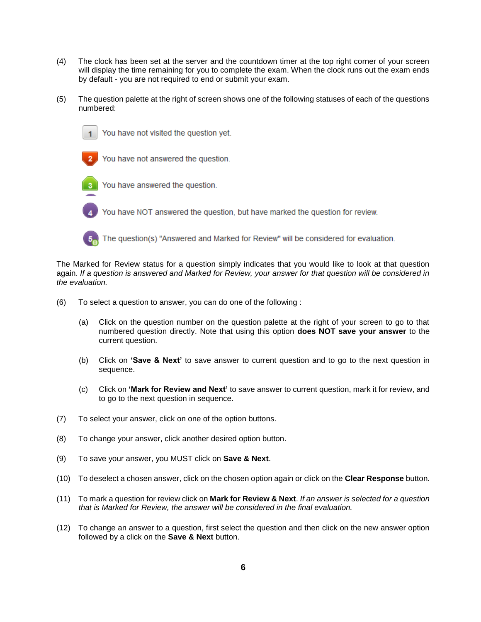- (4) The clock has been set at the server and the countdown timer at the top right corner of your screen will display the time remaining for you to complete the exam. When the clock runs out the exam ends by default - you are not required to end or submit your exam.
- (5) The question palette at the right of screen shows one of the following statuses of each of the questions numbered:



You have not visited the question yet.



You have not answered the question.



You have answered the question.

You have NOT answered the question, but have marked the question for review.



The question(s) "Answered and Marked for Review" will be considered for evaluation.

The Marked for Review status for a question simply indicates that you would like to look at that question again. *If a question is answered and Marked for Review, your answer for that question will be considered in the evaluation.*

- (6) To select a question to answer, you can do one of the following :
	- (a) Click on the question number on the question palette at the right of your screen to go to that numbered question directly. Note that using this option **does NOT save your answer** to the current question.
	- (b) Click on **'Save & Next'** to save answer to current question and to go to the next question in sequence.
	- (c) Click on **'Mark for Review and Next'** to save answer to current question, mark it for review, and to go to the next question in sequence.
- (7) To select your answer, click on one of the option buttons.
- (8) To change your answer, click another desired option button.
- (9) To save your answer, you MUST click on **Save & Next**.
- (10) To deselect a chosen answer, click on the chosen option again or click on the **Clear Response** button.
- (11) To mark a question for review click on **Mark for Review & Next**. *If an answer is selected for a question that is Marked for Review, the answer will be considered in the final evaluation.*
- (12) To change an answer to a question, first select the question and then click on the new answer option followed by a click on the **Save & Next** button.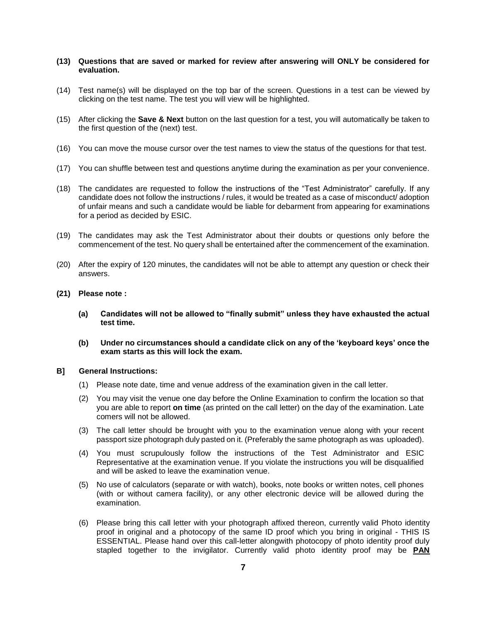## **(13) Questions that are saved or marked for review after answering will ONLY be considered for evaluation.**

- (14) Test name(s) will be displayed on the top bar of the screen. Questions in a test can be viewed by clicking on the test name. The test you will view will be highlighted.
- (15) After clicking the **Save & Next** button on the last question for a test, you will automatically be taken to the first question of the (next) test.
- (16) You can move the mouse cursor over the test names to view the status of the questions for that test.
- (17) You can shuffle between test and questions anytime during the examination as per your convenience.
- (18) The candidates are requested to follow the instructions of the "Test Administrator" carefully. If any candidate does not follow the instructions / rules, it would be treated as a case of misconduct/ adoption of unfair means and such a candidate would be liable for debarment from appearing for examinations for a period as decided by ESIC.
- (19) The candidates may ask the Test Administrator about their doubts or questions only before the commencement of the test. No query shall be entertained after the commencement of the examination.
- (20) After the expiry of 120 minutes, the candidates will not be able to attempt any question or check their answers.
- **(21) Please note :**
	- **(a) Candidates will not be allowed to "finally submit" unless they have exhausted the actual test time.**
	- **(b) Under no circumstances should a candidate click on any of the 'keyboard keys' once the exam starts as this will lock the exam.**
- **B] General Instructions:**
	- (1) Please note date, time and venue address of the examination given in the call letter.
	- (2) You may visit the venue one day before the Online Examination to confirm the location so that you are able to report **on time** (as printed on the call letter) on the day of the examination. Late comers will not be allowed.
	- (3) The call letter should be brought with you to the examination venue along with your recent passport size photograph duly pasted on it. (Preferably the same photograph as was uploaded).
	- (4) You must scrupulously follow the instructions of the Test Administrator and ESIC Representative at the examination venue. If you violate the instructions you will be disqualified and will be asked to leave the examination venue.
	- (5) No use of calculators (separate or with watch), books, note books or written notes, cell phones (with or without camera facility), or any other electronic device will be allowed during the examination.
	- (6) Please bring this call letter with your photograph affixed thereon, currently valid Photo identity proof in original and a photocopy of the same ID proof which you bring in original - THIS IS ESSENTIAL. Please hand over this call-letter alongwith photocopy of photo identity proof duly stapled together to the invigilator. Currently valid photo identity proof may be **PAN**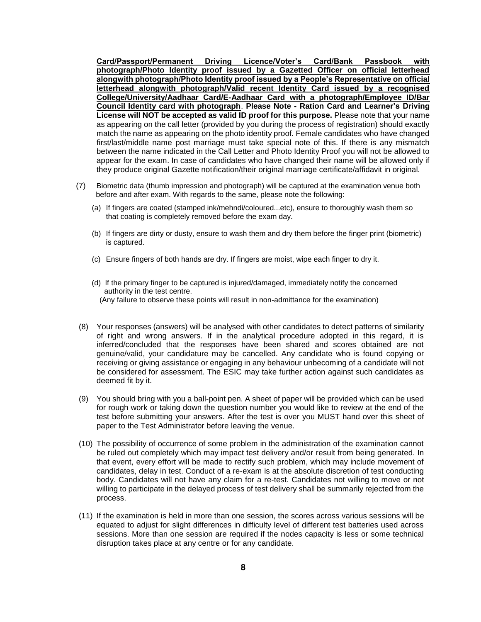**Card/Passport/Permanent Driving Licence/Voter's Card/Bank Passbook with photograph/Photo Identity proof issued by a Gazetted Officer on official letterhead alongwith photograph/Photo Identity proof issued by a People's Representative on official letterhead alongwith photograph/Valid recent Identity Card issued by a recognised College/University/Aadhaar Card/E-Aadhaar Card with a photograph/Employee ID/Bar Council Identity card with photograph**. **Please Note - Ration Card and Learner's Driving License will NOT be accepted as valid ID proof for this purpose.** Please note that your name as appearing on the call letter (provided by you during the process of registration) should exactly match the name as appearing on the photo identity proof. Female candidates who have changed first/last/middle name post marriage must take special note of this. If there is any mismatch between the name indicated in the Call Letter and Photo Identity Proof you will not be allowed to appear for the exam. In case of candidates who have changed their name will be allowed only if they produce original Gazette notification/their original marriage certificate/affidavit in original.

- (7)Biometric data (thumb impression and photograph) will be captured at the examination venue both before and after exam. With regards to the same, please note the following:
	- (a) If fingers are coated (stamped ink/mehndi/coloured...etc), ensure to thoroughly wash them so that coating is completely removed before the exam day.
	- (b) If fingers are dirty or dusty, ensure to wash them and dry them before the finger print (biometric) is captured.
	- (c) Ensure fingers of both hands are dry. If fingers are moist, wipe each finger to dry it.
	- (d) If the primary finger to be captured is injured/damaged, immediately notify the concerned authority in the test centre. (Any failure to observe these points will result in non-admittance for the examination)
- (8) Your responses (answers) will be analysed with other candidates to detect patterns of similarity of right and wrong answers. If in the analytical procedure adopted in this regard, it is inferred/concluded that the responses have been shared and scores obtained are not genuine/valid, your candidature may be cancelled. Any candidate who is found copying or receiving or giving assistance or engaging in any behaviour unbecoming of a candidate will not be considered for assessment. The ESIC may take further action against such candidates as deemed fit by it.
- (9) You should bring with you a ball-point pen. A sheet of paper will be provided which can be used for rough work or taking down the question number you would like to review at the end of the test before submitting your answers. After the test is over you MUST hand over this sheet of paper to the Test Administrator before leaving the venue.
- (10) The possibility of occurrence of some problem in the administration of the examination cannot be ruled out completely which may impact test delivery and/or result from being generated. In that event, every effort will be made to rectify such problem, which may include movement of candidates, delay in test. Conduct of a re-exam is at the absolute discretion of test conducting body. Candidates will not have any claim for a re-test. Candidates not willing to move or not willing to participate in the delayed process of test delivery shall be summarily rejected from the process.
- (11) If the examination is held in more than one session, the scores across various sessions will be equated to adjust for slight differences in difficulty level of different test batteries used across sessions. More than one session are required if the nodes capacity is less or some technical disruption takes place at any centre or for any candidate.